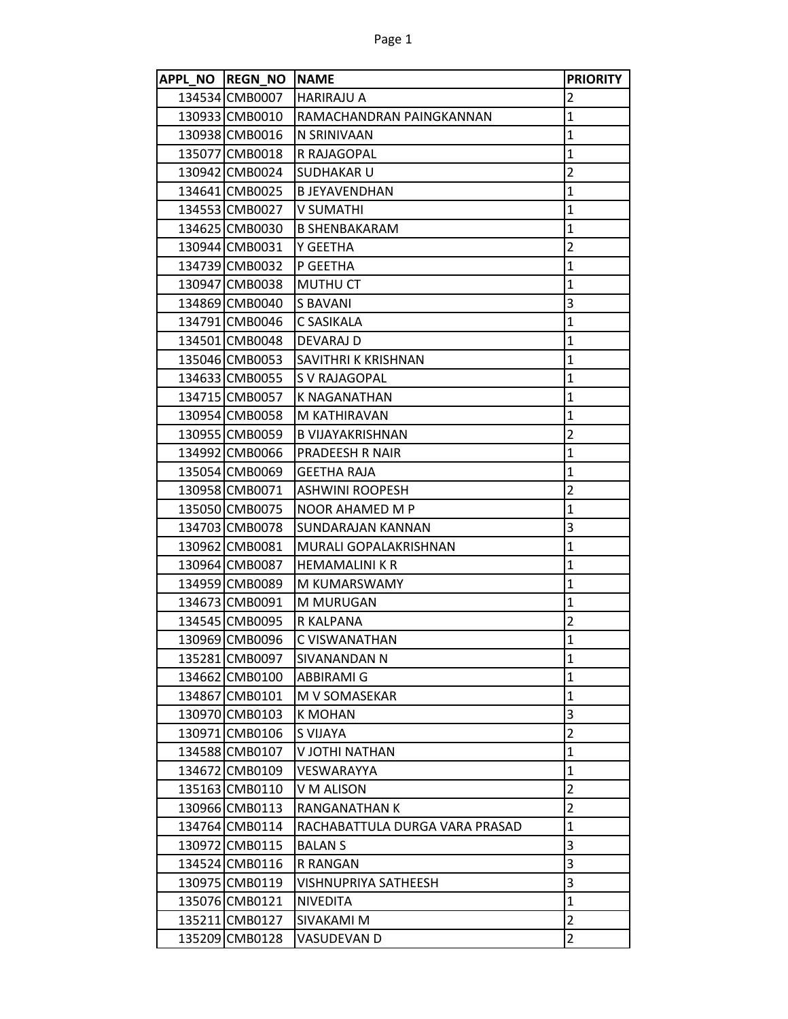| APPL NO REGN NO NAME |                                | <b>PRIORITY</b>         |
|----------------------|--------------------------------|-------------------------|
| 134534 CMB0007       | <b>HARIRAJU A</b>              | 2                       |
| 130933 CMB0010       | RAMACHANDRAN PAINGKANNAN       | 1                       |
| 130938 CMB0016       | N SRINIVAAN                    | 1                       |
| 135077 CMB0018       | R RAJAGOPAL                    | $\mathbf{1}$            |
| 130942 CMB0024       | SUDHAKAR U                     | $\overline{\mathbf{c}}$ |
| 134641 CMB0025       | <b>B JEYAVENDHAN</b>           | $\mathbf{1}$            |
| 134553 CMB0027       | <b>V SUMATHI</b>               | $\mathbf{1}$            |
| 134625 CMB0030       | <b>B SHENBAKARAM</b>           | $\mathbf{1}$            |
| 130944 CMB0031       | Y GEETHA                       | $\overline{2}$          |
| 134739 CMB0032       | P GEETHA                       | $\mathbf{1}$            |
| 130947 CMB0038       | <b>MUTHU CT</b>                | $\mathbf{1}$            |
| 134869 CMB0040       | S BAVANI                       | 3                       |
| 134791 CMB0046       | C SASIKALA                     | $\mathbf 1$             |
| 134501 CMB0048       | DEVARAJ D                      | $\mathbf 1$             |
| 135046 CMB0053       | SAVITHRI K KRISHNAN            | 1                       |
| 134633 CMB0055       | S V RAJAGOPAL                  | 1                       |
| 134715 CMB0057       | <b>K NAGANATHAN</b>            | $\mathbf{1}$            |
| 130954 CMB0058       | M KATHIRAVAN                   | 1                       |
| 130955 CMB0059       | <b>B VIJAYAKRISHNAN</b>        | $\overline{\mathbf{c}}$ |
| 134992 CMB0066       | PRADEESH R NAIR                | 1                       |
| 135054 CMB0069       | <b>GEETHA RAJA</b>             | 1                       |
| 130958 CMB0071       | <b>ASHWINI ROOPESH</b>         | $\overline{2}$          |
| 135050 CMB0075       | NOOR AHAMED M P                | 1                       |
| 134703 CMB0078       | SUNDARAJAN KANNAN              | 3                       |
| 130962 CMB0081       | MURALI GOPALAKRISHNAN          | $\mathbf{1}$            |
| 130964 CMB0087       | <b>HEMAMALINI K R</b>          | $\mathbf 1$             |
| 134959 CMB0089       | M KUMARSWAMY                   | 1                       |
| 134673 CMB0091       | M MURUGAN                      | $\mathbf{1}$            |
| 134545 CMB0095       | R KALPANA                      | $\overline{2}$          |
| 130969 CMB0096       | C VISWANATHAN                  | $\mathbf{1}$            |
| 135281 CMB0097       | SIVANANDAN N                   | 1                       |
| 134662 CMB0100       | <b>ABBIRAMI G</b>              | 1                       |
| 134867 CMB0101       | M V SOMASEKAR                  | 1                       |
| 130970 CMB0103       | K MOHAN                        | 3                       |
| 130971 CMB0106       | S VIJAYA                       | $\overline{2}$          |
| 134588 CMB0107       | V JOTHI NATHAN                 | $\mathbf{1}$            |
| 134672 CMB0109       | VESWARAYYA                     | 1                       |
| 135163 CMB0110       | V M ALISON                     | $\overline{2}$          |
| 130966 CMB0113       | RANGANATHAN K                  | $\overline{2}$          |
| 134764 CMB0114       | RACHABATTULA DURGA VARA PRASAD | 1                       |
| 130972 CMB0115       | <b>BALANS</b>                  | 3                       |
| 134524 CMB0116       | R RANGAN                       | 3                       |
| 130975 CMB0119       | VISHNUPRIYA SATHEESH           | 3                       |
| 135076 CMB0121       | <b>NIVEDITA</b>                | $\mathbf{1}$            |
| 135211 CMB0127       | SIVAKAMI M                     | $\overline{2}$          |
| 135209 CMB0128       | VASUDEVAN D                    | $\overline{2}$          |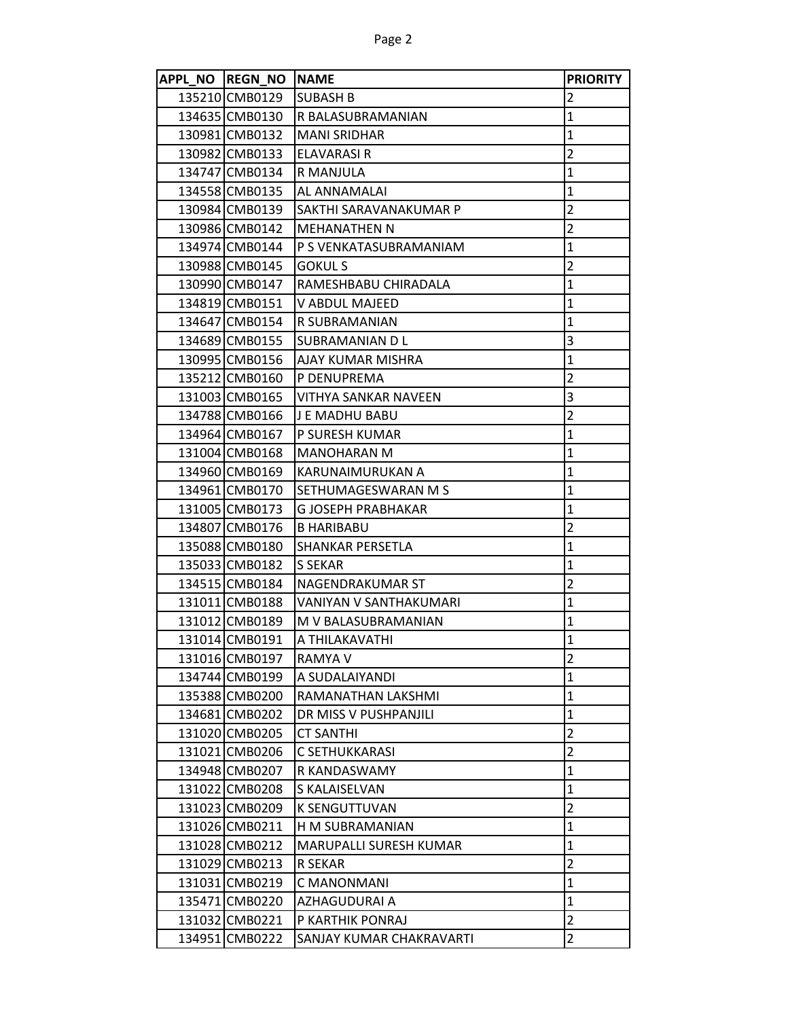|        | APPL NO REGN NO NAME |                               | <b>PRIORITY</b> |
|--------|----------------------|-------------------------------|-----------------|
|        | 135210 CMB0129       | <b>SUBASH B</b>               | $\overline{2}$  |
|        | 134635 CMB0130       | R BALASUBRAMANIAN             | 1               |
|        | 130981 CMB0132       | <b>MANI SRIDHAR</b>           | $\mathbf{1}$    |
|        | 130982 CMB0133       | <b>ELAVARASI R</b>            | $\overline{2}$  |
|        | 134747 CMB0134       | R MANJULA                     | $\mathbf{1}$    |
|        | 134558 CMB0135       | AL ANNAMALAI                  | $\mathbf{1}$    |
|        | 130984 CMB0139       | SAKTHI SARAVANAKUMAR P        | $\overline{2}$  |
|        | 130986 CMB0142       | <b>MEHANATHEN N</b>           | $\overline{2}$  |
|        | 134974 CMB0144       | P S VENKATASUBRAMANIAM        | $\mathbf{1}$    |
|        | 130988 CMB0145       | GOKUL S                       | $\overline{2}$  |
|        | 130990 CMB0147       | RAMESHBABU CHIRADALA          | 1               |
|        | 134819 CMB0151       | V ABDUL MAJEED                | $\mathbf{1}$    |
|        | 134647 CMB0154       | R SUBRAMANIAN                 | $\mathbf{1}$    |
|        | 134689 CMB0155       | SUBRAMANIAN D L               | 3               |
|        | 130995 CMB0156       | AJAY KUMAR MISHRA             | 1               |
|        | 135212 CMB0160       | P DENUPREMA                   | $\overline{2}$  |
|        | 131003 CMB0165       | VITHYA SANKAR NAVEEN          | 3               |
|        | 134788 CMB0166       | J E MADHU BABU                | $\overline{2}$  |
|        | 134964 CMB0167       | P SURESH KUMAR                | $\mathbf{1}$    |
|        | 131004 CMB0168       | <b>MANOHARAN M</b>            | 1               |
|        | 134960 CMB0169       | KARUNAIMURUKAN A              | $\mathbf{1}$    |
|        | 134961 CMB0170       | SETHUMAGESWARAN M S           | $\mathbf{1}$    |
|        | 131005 CMB0173       | G JOSEPH PRABHAKAR            | 1               |
|        | 134807 CMB0176       | <b>B HARIBABU</b>             | $\overline{2}$  |
|        | 135088 CMB0180       | SHANKAR PERSETLA              | $\mathbf{1}$    |
|        | 135033 CMB0182       | S SEKAR                       | $\mathbf{1}$    |
|        | 134515 CMB0184       | NAGENDRAKUMAR ST              | $\overline{2}$  |
|        | 131011 CMB0188       | <b>VANIYAN V SANTHAKUMARI</b> | $\mathbf{1}$    |
|        | 131012 CMB0189       | M V BALASUBRAMANIAN           | $\mathbf{1}$    |
|        | 131014 CMB0191       | A THILAKAVATHI                | $\mathbf{1}$    |
|        | 131016 CMB0197       | <b>RAMYA V</b>                | 2               |
|        | 134744 CMB0199       | A SUDALAIYANDI                | $\mathbf{1}$    |
|        | 135388 CMB0200       | RAMANATHAN LAKSHMI            | $\mathbf{1}$    |
|        | 134681 CMB0202       | DR MISS V PUSHPANJILI         | $\mathbf{1}$    |
|        | 131020 CMB0205       | <b>CT SANTHI</b>              | $\overline{2}$  |
|        | 131021 CMB0206       | C SETHUKKARASI                | $\overline{2}$  |
|        | 134948 CMB0207       | R KANDASWAMY                  | $\mathbf{1}$    |
|        | 131022 CMB0208       | S KALAISELVAN                 | $\mathbf{1}$    |
|        | 131023 CMB0209       | <b>K SENGUTTUVAN</b>          | $\overline{2}$  |
|        | 131026 CMB0211       | H M SUBRAMANIAN               | $\mathbf{1}$    |
|        | 131028 CMB0212       | MARUPALLI SURESH KUMAR        | $\mathbf{1}$    |
|        | 131029 CMB0213       | R SEKAR                       | $\overline{2}$  |
|        | 131031 CMB0219       | C MANONMANI                   | $\mathbf 1$     |
|        | 135471 CMB0220       | AZHAGUDURAI A                 | $\mathbf{1}$    |
|        | 131032 CMB0221       | P KARTHIK PONRAJ              | $\overline{2}$  |
| 134951 | <b>CMB0222</b>       | SANJAY KUMAR CHAKRAVARTI      | $\overline{2}$  |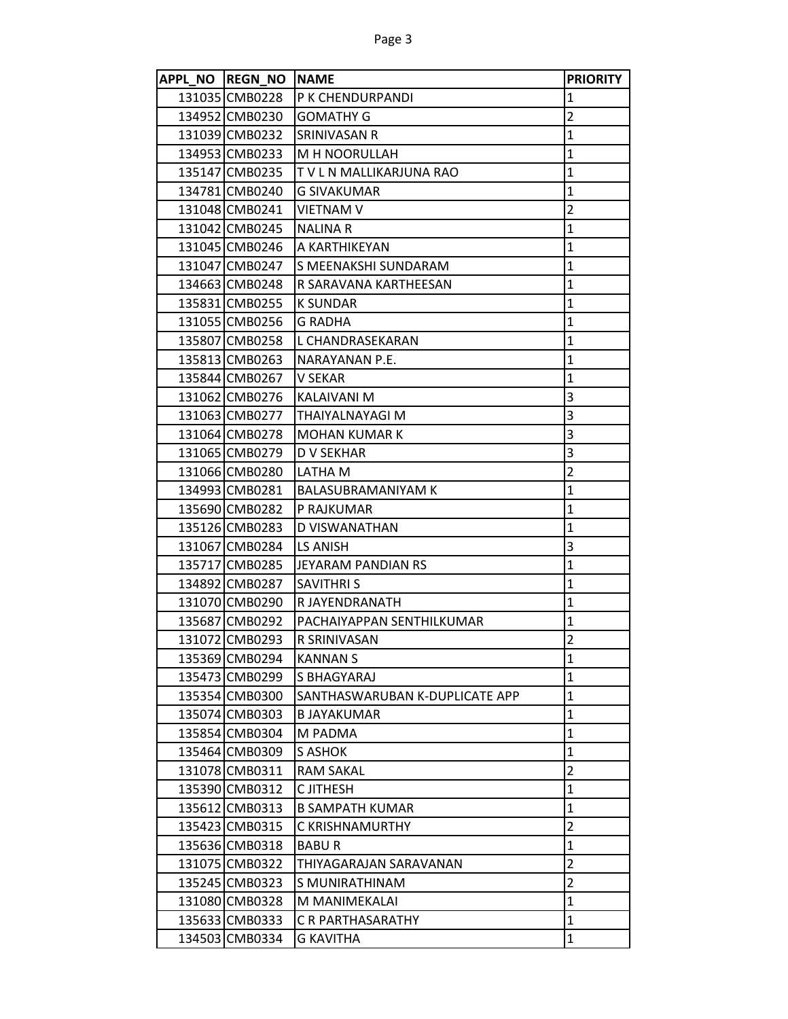| APPL NO REGN NO NAME |                                | <b>PRIORITY</b> |
|----------------------|--------------------------------|-----------------|
| 131035 CMB0228       | P K CHENDURPANDI               | 1               |
| 134952 CMB0230       | <b>GOMATHY G</b>               | $\overline{2}$  |
| 131039 CMB0232       | <b>SRINIVASAN R</b>            | $\mathbf{1}$    |
| 134953 CMB0233       | M H NOORULLAH                  | $\mathbf{1}$    |
| 135147 CMB0235       | T V L N MALLIKARJUNA RAO       | $\mathbf{1}$    |
| 134781 CMB0240       | <b>G SIVAKUMAR</b>             | $\mathbf 1$     |
| 131048 CMB0241       | <b>VIETNAM V</b>               | $\overline{2}$  |
| 131042 CMB0245       | <b>NALINA R</b>                | $\mathbf 1$     |
| 131045 CMB0246       | A KARTHIKEYAN                  | $\mathbf 1$     |
| 131047 CMB0247       | S MEENAKSHI SUNDARAM           | $\mathbf{1}$    |
| 134663 CMB0248       | R SARAVANA KARTHEESAN          | $\mathbf 1$     |
| 135831 CMB0255       | <b>K SUNDAR</b>                | $\mathbf 1$     |
| 131055 CMB0256       | <b>G RADHA</b>                 | $\mathbf{1}$    |
| 135807 CMB0258       | L CHANDRASEKARAN               | $\mathbf 1$     |
| 135813 CMB0263       | NARAYANAN P.E.                 | $\mathbf{1}$    |
| 135844 CMB0267       | V SEKAR                        | $\mathbf{1}$    |
| 131062 CMB0276       | KALAIVANI M                    | 3               |
| 131063 CMB0277       | <b>THAIYALNAYAGI M</b>         | 3               |
| 131064 CMB0278       | <b>MOHAN KUMAR K</b>           | 3               |
| 131065 CMB0279       | D V SEKHAR                     | 3               |
| 131066 CMB0280       | LATHA M                        | $\overline{2}$  |
| 134993 CMB0281       | <b>BALASUBRAMANIYAM K</b>      | $\mathbf 1$     |
| 135690 CMB0282       | <b>P RAJKUMAR</b>              | $\mathbf 1$     |
| 135126 CMB0283       | D VISWANATHAN                  | $\mathbf{1}$    |
| 131067 CMB0284       | LS ANISH                       | 3               |
| 135717 CMB0285       | JEYARAM PANDIAN RS             | $\mathbf 1$     |
| 134892 CMB0287       | <b>SAVITHRIS</b>               | $\mathbf 1$     |
| 131070 CMB0290       | R JAYENDRANATH                 | $\mathbf{1}$    |
| 135687 CMB0292       | PACHAIYAPPAN SENTHILKUMAR      | $\mathbf{1}$    |
| 131072 CMB0293       | R SRINIVASAN                   | $\overline{2}$  |
| 135369 CMB0294       | <b>KANNAN S</b>                | $\mathbf 1$     |
| 135473 CMB0299       | S BHAGYARAJ                    | $\mathbf{1}$    |
| 135354 CMB0300       | SANTHASWARUBAN K-DUPLICATE APP | $\mathbf 1$     |
| 135074 CMB0303       | <b>BJAYAKUMAR</b>              | $\mathbf{1}$    |
| 135854 CMB0304       | M PADMA                        | $\mathbf{1}$    |
| 135464 CMB0309       | S ASHOK                        | $\mathbf{1}$    |
| 131078 CMB0311       | <b>RAM SAKAL</b>               | $\overline{2}$  |
| 135390 CMB0312       | C JITHESH                      | $\mathbf{1}$    |
| 135612 CMB0313       | <b>B SAMPATH KUMAR</b>         | $\mathbf{1}$    |
| 135423 CMB0315       | C KRISHNAMURTHY                | $\overline{2}$  |
| 135636 CMB0318       | <b>BABUR</b>                   | $\mathbf{1}$    |
| 131075 CMB0322       | THIYAGARAJAN SARAVANAN         | $\overline{2}$  |
| 135245 CMB0323       | S MUNIRATHINAM                 | $\overline{2}$  |
| 131080 CMB0328       | M MANIMEKALAI                  | $\mathbf{1}$    |
| 135633 CMB0333       | C R PARTHASARATHY              | $\mathbf 1$     |
| 134503 CMB0334       | <b>G KAVITHA</b>               | $\mathbf{1}$    |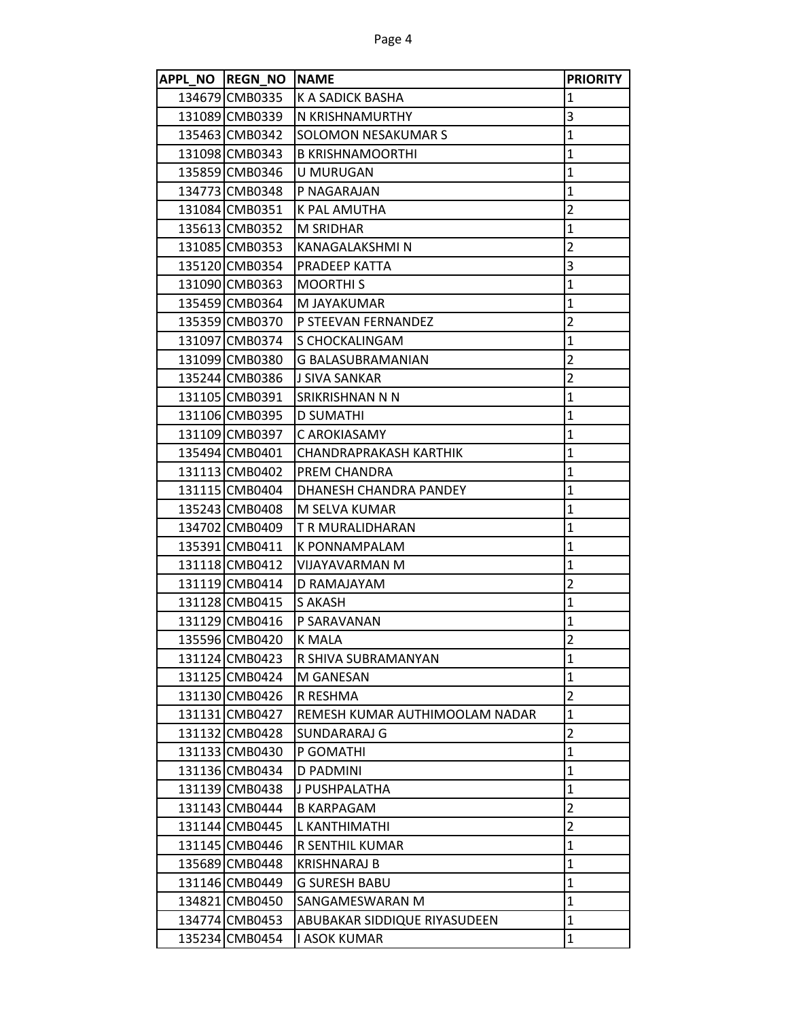| APPL NO REGN NO | <b>NAME</b>                    | <b>PRIORITY</b> |
|-----------------|--------------------------------|-----------------|
| 134679 CMB0335  | K A SADICK BASHA               | $\mathbf 1$     |
| 131089 CMB0339  | N KRISHNAMURTHY                | 3               |
| 135463 CMB0342  | SOLOMON NESAKUMAR S            | $\mathbf{1}$    |
| 131098 CMB0343  | <b>B KRISHNAMOORTHI</b>        | $\mathbf{1}$    |
| 135859 CMB0346  | U MURUGAN                      | 1               |
| 134773 CMB0348  | P NAGARAJAN                    | $\mathbf{1}$    |
| 131084 CMB0351  | K PAL AMUTHA                   | $\overline{2}$  |
| 135613 CMB0352  | <b>M SRIDHAR</b>               | $\mathbf{1}$    |
| 131085 CMB0353  | KANAGALAKSHMI N                | $\overline{2}$  |
| 135120 CMB0354  | PRADEEP KATTA                  | 3               |
| 131090 CMB0363  | <b>MOORTHIS</b>                | $\mathbf{1}$    |
| 135459 CMB0364  | M JAYAKUMAR                    | $\mathbf{1}$    |
| 135359 CMB0370  | P STEEVAN FERNANDEZ            | $\overline{2}$  |
| 131097 CMB0374  | S CHOCKALINGAM                 | $\overline{1}$  |
| 131099 CMB0380  | <b>G BALASUBRAMANIAN</b>       | $\overline{2}$  |
| 135244 CMB0386  | J SIVA SANKAR                  | $\overline{2}$  |
| 131105 CMB0391  | SRIKRISHNAN N N                | $\mathbf{1}$    |
| 131106 CMB0395  | <b>D SUMATHI</b>               | $\mathbf{1}$    |
| 131109 CMB0397  | C AROKIASAMY                   | $\mathbf{1}$    |
| 135494 CMB0401  | CHANDRAPRAKASH KARTHIK         | $\mathbf{1}$    |
| 131113 CMB0402  | PREM CHANDRA                   | $\mathbf{1}$    |
| 131115 CMB0404  | DHANESH CHANDRA PANDEY         | $\mathbf{1}$    |
| 135243 CMB0408  | M SELVA KUMAR                  | $\mathbf{1}$    |
| 134702 CMB0409  | T R MURALIDHARAN               | $\mathbf 1$     |
| 135391 CMB0411  | K PONNAMPALAM                  | $\mathbf{1}$    |
| 131118 CMB0412  | VIJAYAVARMAN M                 | $\mathbf{1}$    |
| 131119 CMB0414  | D RAMAJAYAM                    | $\overline{2}$  |
| 131128 CMB0415  | S AKASH                        | $\mathbf{1}$    |
| 131129 CMB0416  | P SARAVANAN                    | $\mathbf{1}$    |
| 135596 CMB0420  | <b>K MALA</b>                  | $\overline{2}$  |
| 131124 CMB0423  | R SHIVA SUBRAMANYAN            | $\mathbf{1}$    |
| 131125 CMB0424  | M GANESAN                      | 1               |
| 131130 CMB0426  | R RESHMA                       | $\overline{2}$  |
| 131131 CMB0427  | REMESH KUMAR AUTHIMOOLAM NADAR | $\mathbf{1}$    |
| 131132 CMB0428  | SUNDARARAJ G                   | $\overline{2}$  |
| 131133 CMB0430  | P GOMATHI                      | $\mathbf{1}$    |
| 131136 CMB0434  | D PADMINI                      | $\mathbf{1}$    |
| 131139 CMB0438  | J PUSHPALATHA                  | $\mathbf{1}$    |
| 131143 CMB0444  | <b>B KARPAGAM</b>              | $\overline{2}$  |
| 131144 CMB0445  | L KANTHIMATHI                  | $\overline{2}$  |
| 131145 CMB0446  | R SENTHIL KUMAR                | $\mathbf{1}$    |
| 135689 CMB0448  | <b>KRISHNARAJ B</b>            | 1               |
| 131146 CMB0449  | <b>G SURESH BABU</b>           | $\mathbf{1}$    |
| 134821 CMB0450  | SANGAMESWARAN M                | $\mathbf{1}$    |
| 134774 CMB0453  | ABUBAKAR SIDDIQUE RIYASUDEEN   | $\mathbf 1$     |
| 135234 CMB0454  | I ASOK KUMAR                   | $\mathbf{1}$    |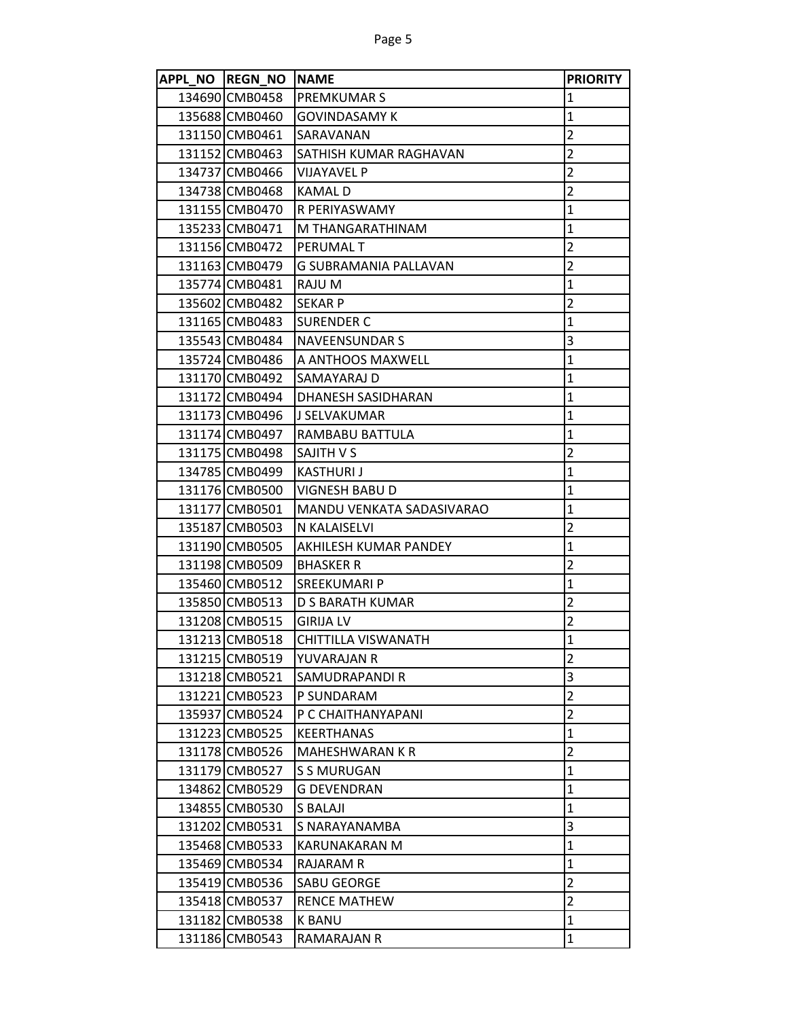| APPL NO REGN NO NAME |                           | <b>PRIORITY</b> |
|----------------------|---------------------------|-----------------|
| 134690 CMB0458       | <b>PREMKUMARS</b>         | 1               |
| 135688 CMB0460       | <b>GOVINDASAMY K</b>      | $\mathbf{1}$    |
| 131150 CMB0461       | SARAVANAN                 | $\overline{2}$  |
| 131152 CMB0463       | SATHISH KUMAR RAGHAVAN    | $\overline{2}$  |
| 134737 CMB0466       | <b>VIJAYAVEL P</b>        | $\overline{2}$  |
| 134738 CMB0468       | <b>KAMALD</b>             | $\overline{2}$  |
| 131155 CMB0470       | R PERIYASWAMY             | $\mathbf{1}$    |
| 135233 CMB0471       | M THANGARATHINAM          | $\mathbf{1}$    |
| 131156 CMB0472       | <b>PERUMALT</b>           | $\overline{2}$  |
| 131163 CMB0479       | G SUBRAMANIA PALLAVAN     | $\overline{2}$  |
| 135774 CMB0481       | RAJU M                    | $\mathbf{1}$    |
| 135602 CMB0482       | <b>SEKAR P</b>            | $\overline{2}$  |
| 131165 CMB0483       | <b>SURENDER C</b>         | $\mathbf{1}$    |
| 135543 CMB0484       | <b>NAVEENSUNDAR S</b>     | 3               |
| 135724 CMB0486       | A ANTHOOS MAXWELL         | 1               |
| 131170 CMB0492       | SAMAYARAJ D               | $\mathbf{1}$    |
| 131172 CMB0494       | <b>DHANESH SASIDHARAN</b> | $\mathbf{1}$    |
| 131173 CMB0496       | lJ SELVAKUMAR             | 1               |
| 131174 CMB0497       | RAMBABU BATTULA           | $\mathbf{1}$    |
| 131175 CMB0498       | <b>SAJITH V S</b>         | $\overline{2}$  |
| 134785 CMB0499       | <b>KASTHURIJ</b>          | $\mathbf{1}$    |
| 131176 CMB0500       | <b>VIGNESH BABU D</b>     | $\mathbf{1}$    |
| 131177 CMB0501       | MANDU VENKATA SADASIVARAO | $\mathbf{1}$    |
| 135187 CMB0503       | N KALAISELVI              | $\overline{2}$  |
| 131190 CMB0505       | AKHILESH KUMAR PANDEY     | 1               |
| 131198 CMB0509       | <b>BHASKER R</b>          | $\overline{2}$  |
| 135460 CMB0512       | <b>SREEKUMARI P</b>       | 1               |
| 135850 CMB0513       | D S BARATH KUMAR          | $\overline{2}$  |
| 131208 CMB0515       | <b>GIRIJA LV</b>          | $\overline{2}$  |
| 131213 CMB0518       | CHITTILLA VISWANATH       | $\mathbf{1}$    |
| 131215 CMB0519       | YUVARAJAN R               | 2               |
| 131218 CMB0521       | SAMUDRAPANDI R            | 3               |
| 131221 CMB0523       | P SUNDARAM                | $\overline{2}$  |
| 135937 CMB0524       | P C CHAITHANYAPANI        | $\overline{2}$  |
| 131223 CMB0525       | <b>KEERTHANAS</b>         | $\mathbf{1}$    |
| 131178 CMB0526       | MAHESHWARAN K R           | $\overline{2}$  |
| 131179 CMB0527       | <b>S S MURUGAN</b>        | $\mathbf{1}$    |
| 134862 CMB0529       | G DEVENDRAN               | $\mathbf{1}$    |
| 134855 CMB0530       | S BALAJI                  | $\mathbf{1}$    |
| 131202 CMB0531       | S NARAYANAMBA             | 3               |
| 135468 CMB0533       | KARUNAKARAN M             | $\mathbf{1}$    |
| 135469 CMB0534       | <b>RAJARAM R</b>          | $\mathbf{1}$    |
| 135419 CMB0536       | SABU GEORGE               | $\overline{2}$  |
| 135418 CMB0537       | <b>RENCE MATHEW</b>       | $\overline{2}$  |
| 131182 CMB0538       | K BANU                    | $\mathbf{1}$    |
| 131186 CMB0543       | RAMARAJAN R               | $\mathbf{1}$    |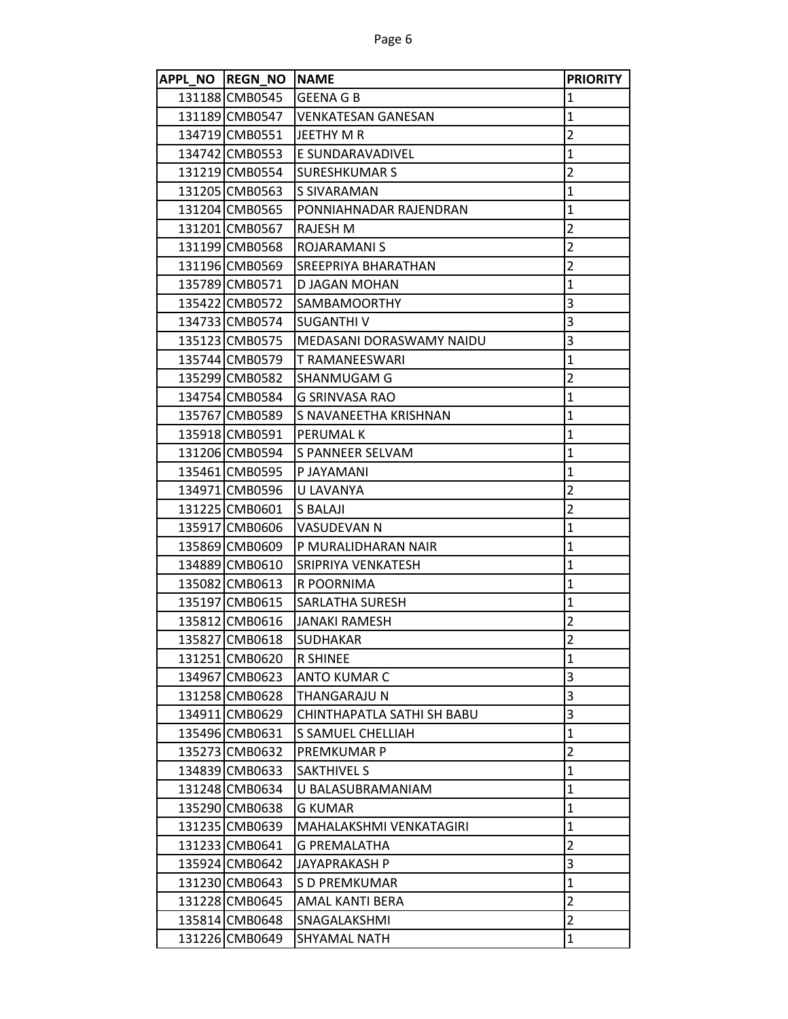| APPL NO REGN NO NAME |                              | <b>PRIORITY</b> |
|----------------------|------------------------------|-----------------|
| 131188 CMB0545       | <b>GEENA G B</b>             | 1               |
| 131189 CMB0547       | <b>IVENKATESAN GANESAN</b>   | 1               |
| 134719 CMB0551       | JEETHY M R                   | $\overline{2}$  |
| 134742 CMB0553       | E SUNDARAVADIVEL             | 1               |
| 131219 CMB0554       | SURESHKUMAR S                | $\overline{2}$  |
| 131205 CMB0563       | S SIVARAMAN                  | $\mathbf{1}$    |
| 131204 CMB0565       | PONNIAHNADAR RAJENDRAN       | $\mathbf{1}$    |
| 131201 CMB0567       | <b>RAJESH M</b>              | $\overline{2}$  |
| 131199 CMB0568       | <b>ROJARAMANI S</b>          | 2               |
| 131196 CMB0569       | SREEPRIYA BHARATHAN          | $\overline{2}$  |
| 135789 CMB0571       | D JAGAN MOHAN                | 1               |
| 135422 CMB0572       | <b>SAMBAMOORTHY</b>          | 3               |
| 134733 CMB0574       | <b>SUGANTHI V</b>            | 3               |
| 135123 CMB0575       | MEDASANI DORASWAMY NAIDU     | 3               |
| 135744 CMB0579       | T RAMANEESWARI               | 1               |
| 135299 CMB0582       | <b>SHANMUGAM G</b>           | $\overline{2}$  |
| 134754 CMB0584       | G SRINVASA RAO               | $\mathbf{1}$    |
| 135767 CMB0589       | <b>S NAVANEETHA KRISHNAN</b> | $\mathbf{1}$    |
| 135918 CMB0591       | <b>PERUMAL K</b>             | $\mathbf{1}$    |
| 131206 CMB0594       | S PANNEER SELVAM             | 1               |
| 135461 CMB0595       | IP JAYAMANI                  | 1               |
| 134971 CMB0596       | U LAVANYA                    | $\overline{2}$  |
| 131225 CMB0601       | S BALAJI                     | $\overline{2}$  |
| 135917 CMB0606       | VASUDEVAN N                  | $\mathbf{1}$    |
| 135869 CMB0609       | P MURALIDHARAN NAIR          | $\mathbf{1}$    |
| 134889 CMB0610       | SRIPRIYA VENKATESH           | $\mathbf{1}$    |
| 135082 CMB0613       | R POORNIMA                   | 1               |
| 135197 CMB0615       | <b>SARLATHA SURESH</b>       | $\mathbf{1}$    |
| 135812 CMB0616       | JANAKI RAMESH                | $\overline{2}$  |
| 135827 CMB0618       | <b>SUDHAKAR</b>              | $\overline{2}$  |
| 131251 CMB0620       | <b>R SHINEE</b>              | $\mathbf{1}$    |
| 134967 CMB0623       | <b>ANTO KUMAR C</b>          | 3               |
| 131258 CMB0628       | THANGARAJU N                 | 3               |
| 134911 CMB0629       | CHINTHAPATLA SATHI SH BABU   | 3               |
| 135496 CMB0631       | <b>S SAMUEL CHELLIAH</b>     | $\mathbf{1}$    |
| 135273 CMB0632       | PREMKUMAR P                  | $\overline{2}$  |
| 134839 CMB0633       | SAKTHIVEL S                  | $\mathbf{1}$    |
| 131248 CMB0634       | U BALASUBRAMANIAM            | $\mathbf{1}$    |
| 135290 CMB0638       | G KUMAR                      | $\mathbf{1}$    |
| 131235 CMB0639       | MAHALAKSHMI VENKATAGIRI      | 1               |
| 131233 CMB0641       | <b>G PREMALATHA</b>          | $\overline{2}$  |
| 135924 CMB0642       | JAYAPRAKASH P                | 3               |
| 131230 CMB0643       | S D PREMKUMAR                | $\mathbf{1}$    |
| 131228 CMB0645       | AMAL KANTI BERA              | $\overline{2}$  |
| 135814 CMB0648       | SNAGALAKSHMI                 | $\overline{2}$  |
| 131226 CMB0649       | SHYAMAL NATH                 | $\mathbf{1}$    |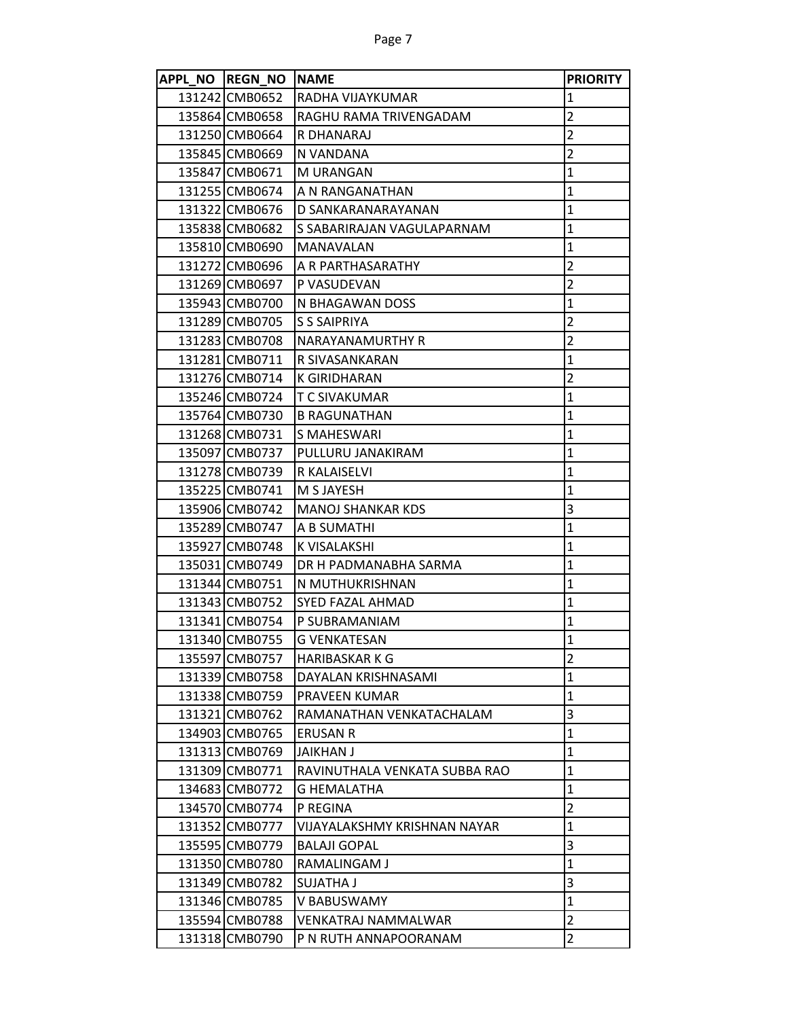| APPL NO REGN NO NAME |                               | <b>PRIORITY</b>         |
|----------------------|-------------------------------|-------------------------|
| 131242 CMB0652       | RADHA VIJAYKUMAR              | 1                       |
| 135864 CMB0658       | RAGHU RAMA TRIVENGADAM        | $\overline{2}$          |
| 131250 CMB0664       | R DHANARAJ                    | $\overline{2}$          |
| 135845 CMB0669       | N VANDANA                     | $\overline{2}$          |
| 135847 CMB0671       | M URANGAN                     | $\mathbf{1}$            |
| 131255 CMB0674       | A N RANGANATHAN               | $\mathbf 1$             |
| 131322 CMB0676       | D SANKARANARAYANAN            | $\mathbf 1$             |
| 135838 CMB0682       | S SABARIRAJAN VAGULAPARNAM    | $\mathbf 1$             |
| 135810 CMB0690       | <b>MANAVALAN</b>              | $\mathbf{1}$            |
| 131272 CMB0696       | A R PARTHASARATHY             | $\overline{c}$          |
| 131269 CMB0697       | <b>P VASUDEVAN</b>            | $\overline{2}$          |
| 135943 CMB0700       | N BHAGAWAN DOSS               | $\mathbf{1}$            |
| 131289 CMB0705       | <b>S S SAIPRIYA</b>           | $\overline{2}$          |
| 131283 CMB0708       | NARAYANAMURTHY R              | $\overline{2}$          |
| 131281 CMB0711       | R SIVASANKARAN                | $\mathbf{1}$            |
| 131276 CMB0714       | <b>K GIRIDHARAN</b>           | $\overline{2}$          |
| 135246 CMB0724       | T C SIVAKUMAR                 | $\mathbf 1$             |
| 135764 CMB0730       | <b>B RAGUNATHAN</b>           | $\mathbf{1}$            |
| 131268 CMB0731       | S MAHESWARI                   | $\mathbf 1$             |
| 135097 CMB0737       | PULLURU JANAKIRAM             | $\mathbf{1}$            |
| 131278 CMB0739       | R KALAISELVI                  | $\mathbf 1$             |
| 135225 CMB0741       | M S JAYESH                    | $\mathbf 1$             |
| 135906 CMB0742       | <b>MANOJ SHANKAR KDS</b>      | 3                       |
| 135289 CMB0747       | A B SUMATHI                   | $\mathbf{1}$            |
| 135927 CMB0748       | K VISALAKSHI                  | $\mathbf 1$             |
| 135031 CMB0749       | DR H PADMANABHA SARMA         | $\mathbf 1$             |
| 131344 CMB0751       | N MUTHUKRISHNAN               | $\mathbf{1}$            |
| 131343 CMB0752       | <b>SYED FAZAL AHMAD</b>       | $\mathbf 1$             |
| 131341 CMB0754       | P SUBRAMANIAM                 | $\mathbf{1}$            |
| 131340 CMB0755       | <b>G VENKATESAN</b>           | $\mathbf{1}$            |
| 135597 CMB0757       | <b>HARIBASKAR K G</b>         | $\overline{\mathbf{c}}$ |
| 131339 CMB0758       | DAYALAN KRISHNASAMI           | $\mathbf{1}$            |
| 131338 CMB0759       | PRAVEEN KUMAR                 | $\mathbf{1}$            |
| 131321 CMB0762       | RAMANATHAN VENKATACHALAM      | 3                       |
| 134903 CMB0765       | <b>ERUSAN R</b>               | $\mathbf 1$             |
| 131313 CMB0769       | JAIKHAN J                     | $\mathbf{1}$            |
| 131309 CMB0771       | RAVINUTHALA VENKATA SUBBA RAO | $\mathbf{1}$            |
| 134683 CMB0772       | <b>G HEMALATHA</b>            | $\mathbf{1}$            |
| 134570 CMB0774       | P REGINA                      | $\overline{2}$          |
| 131352 CMB0777       | VIJAYALAKSHMY KRISHNAN NAYAR  | $\mathbf{1}$            |
| 135595 CMB0779       | <b>BALAJI GOPAL</b>           | 3                       |
| 131350 CMB0780       | RAMALINGAM J                  | $\mathbf{1}$            |
| 131349 CMB0782       | <b>SUJATHA J</b>              | 3                       |
| 131346 CMB0785       | V BABUSWAMY                   | $\mathbf{1}$            |
| 135594 CMB0788       | VENKATRAJ NAMMALWAR           | $\overline{2}$          |
| 131318 CMB0790       | P N RUTH ANNAPOORANAM         | $\overline{2}$          |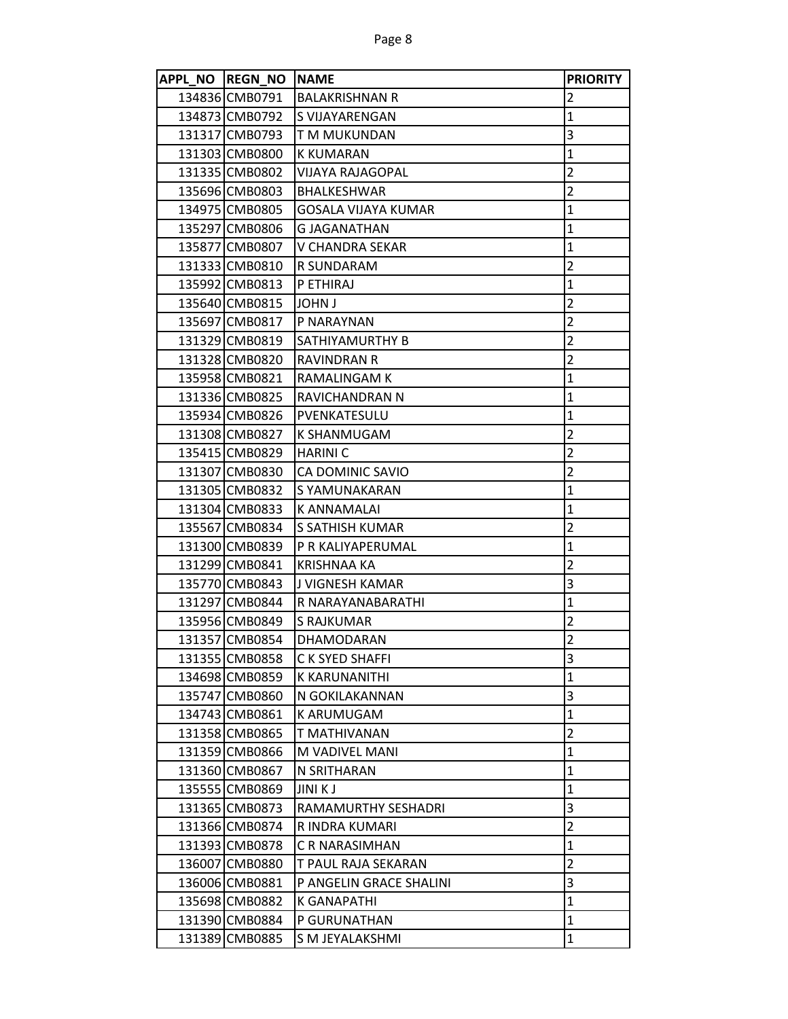| APPL NO REGN NO NAME |                         | <b>PRIORITY</b>         |
|----------------------|-------------------------|-------------------------|
| 134836 CMB0791       | <b>BALAKRISHNAN R</b>   | 2                       |
| 134873 CMB0792       | <b>S VIJAYARENGAN</b>   | $\mathbf{1}$            |
| 131317 CMB0793       | T M MUKUNDAN            | 3                       |
| 131303 CMB0800       | <b>K KUMARAN</b>        | 1                       |
| 131335 CMB0802       | VIJAYA RAJAGOPAL        | 2                       |
| 135696 CMB0803       | <b>BHALKESHWAR</b>      | $\overline{2}$          |
| 134975 CMB0805       | GOSALA VIJAYA KUMAR     | 1                       |
| 135297 CMB0806       | <b>G JAGANATHAN</b>     | 1                       |
| 135877 CMB0807       | <b>V CHANDRA SEKAR</b>  | $\mathbf{1}$            |
| 131333 CMB0810       | R SUNDARAM              | 2                       |
| 135992 CMB0813       | P ETHIRAJ               | 1                       |
| 135640 CMB0815       | I JOHN J                | 2                       |
| 135697 CMB0817       | P NARAYNAN              | 2                       |
| 131329 CMB0819       | SATHIYAMURTHY B         | 2                       |
| 131328 CMB0820       | RAVINDRAN R             | 2                       |
| 135958 CMB0821       | <b>RAMALINGAM K</b>     | 1                       |
| 131336 CMB0825       | RAVICHANDRAN N          | 1                       |
| 135934 CMB0826       | PVENKATESULU            | 1                       |
| 131308 CMB0827       | K SHANMUGAM             | $\overline{2}$          |
| 135415 CMB0829       | <b>HARINI C</b>         | 2                       |
| 131307 CMB0830       | CA DOMINIC SAVIO        | 2                       |
| 131305 CMB0832       | S YAMUNAKARAN           | $\mathbf{1}$            |
| 131304 CMB0833       | <b>K ANNAMALAI</b>      | 1                       |
| 135567 CMB0834       | S SATHISH KUMAR         | 2                       |
| 131300 CMB0839       | P R KALIYAPERUMAL       | $\mathbf{1}$            |
| 131299 CMB0841       | KRISHNAA KA             | $\overline{2}$          |
| 135770 CMB0843       | J VIGNESH KAMAR         | 3                       |
| 131297 CMB0844       | R NARAYANABARATHI       | $\mathbf{1}$            |
| 135956 CMB0849       | S RAJKUMAR              | 2                       |
| 131357 CMB0854       | <b>DHAMODARAN</b>       | $\overline{\mathbf{c}}$ |
| 131355 CMB0858       | C K SYED SHAFFI         | 3                       |
| 134698 CMB0859       | K KARUNANITHI           | 1                       |
| 135747 CMB0860       | N GOKILAKANNAN          | 3                       |
| 134743 CMB0861       | K ARUMUGAM              | 1                       |
| 131358 CMB0865       | T MATHIVANAN            | 2                       |
| 131359 CMB0866       | M VADIVEL MANI          | $\mathbf{1}$            |
| 131360 CMB0867       | N SRITHARAN             | 1                       |
| 135555 CMB0869       | JINI K J                | $\mathbf{1}$            |
| 131365 CMB0873       | RAMAMURTHY SESHADRI     | 3                       |
| 131366 CMB0874       | R INDRA KUMARI          | 2                       |
| 131393 CMB0878       | C R NARASIMHAN          | $\mathbf{1}$            |
| 136007 CMB0880       | T PAUL RAJA SEKARAN     | 2                       |
| 136006 CMB0881       | P ANGELIN GRACE SHALINI | 3                       |
| 135698 CMB0882       | K GANAPATHI             | 1                       |
| 131390 CMB0884       | P GURUNATHAN            | 1                       |
| 131389 CMB0885       | S M JEYALAKSHMI         | 1                       |